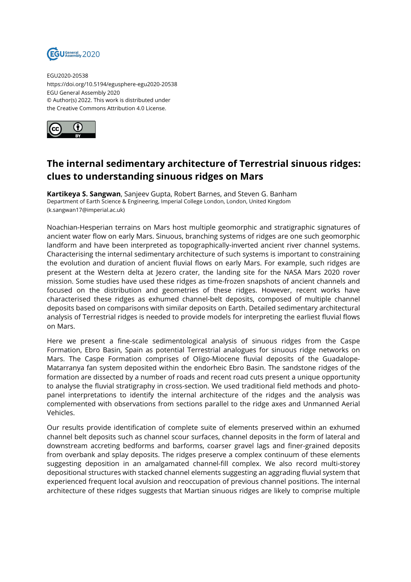

EGU2020-20538 https://doi.org/10.5194/egusphere-egu2020-20538 EGU General Assembly 2020 © Author(s) 2022. This work is distributed under the Creative Commons Attribution 4.0 License.



## **The internal sedimentary architecture of Terrestrial sinuous ridges: clues to understanding sinuous ridges on Mars**

**Kartikeya S. Sangwan**, Sanjeev Gupta, Robert Barnes, and Steven G. Banham Department of Earth Science & Engineering, Imperial College London, London, United Kingdom (k.sangwan17@imperial.ac.uk)

Noachian-Hesperian terrains on Mars host multiple geomorphic and stratigraphic signatures of ancient water flow on early Mars. Sinuous, branching systems of ridges are one such geomorphic landform and have been interpreted as topographically-inverted ancient river channel systems. Characterising the internal sedimentary architecture of such systems is important to constraining the evolution and duration of ancient fluvial flows on early Mars. For example, such ridges are present at the Western delta at Jezero crater, the landing site for the NASA Mars 2020 rover mission. Some studies have used these ridges as time-frozen snapshots of ancient channels and focused on the distribution and geometries of these ridges. However, recent works have characterised these ridges as exhumed channel-belt deposits, composed of multiple channel deposits based on comparisons with similar deposits on Earth. Detailed sedimentary architectural analysis of Terrestrial ridges is needed to provide models for interpreting the earliest fluvial flows on Mars.

Here we present a fine-scale sedimentological analysis of sinuous ridges from the Caspe Formation, Ebro Basin, Spain as potential Terrestrial analogues for sinuous ridge networks on Mars. The Caspe Formation comprises of Oligo-Miocene fluvial deposits of the Guadalope-Matarranya fan system deposited within the endorheic Ebro Basin. The sandstone ridges of the formation are dissected by a number of roads and recent road cuts present a unique opportunity to analyse the fluvial stratigraphy in cross-section. We used traditional field methods and photopanel interpretations to identify the internal architecture of the ridges and the analysis was complemented with observations from sections parallel to the ridge axes and Unmanned Aerial Vehicles.

Our results provide identification of complete suite of elements preserved within an exhumed channel belt deposits such as channel scour surfaces, channel deposits in the form of lateral and downstream accreting bedforms and barforms, coarser gravel lags and finer-grained deposits from overbank and splay deposits. The ridges preserve a complex continuum of these elements suggesting deposition in an amalgamated channel-fill complex. We also record multi-storey depositional structures with stacked channel elements suggesting an aggrading fluvial system that experienced frequent local avulsion and reoccupation of previous channel positions. The internal architecture of these ridges suggests that Martian sinuous ridges are likely to comprise multiple